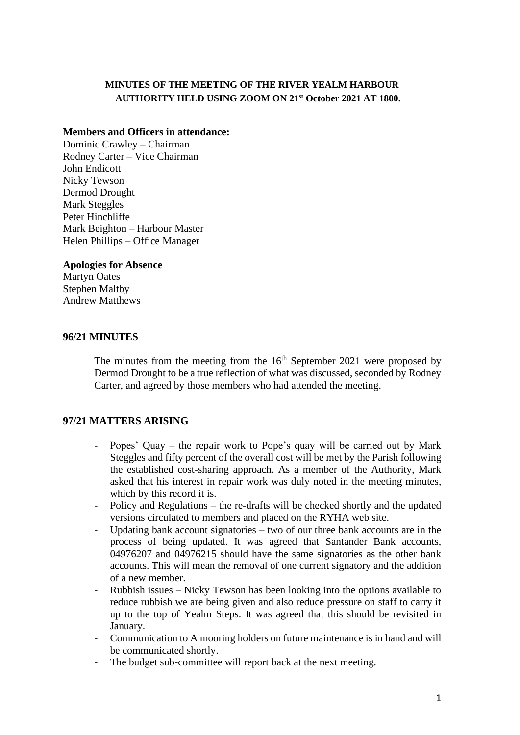## **MINUTES OF THE MEETING OF THE RIVER YEALM HARBOUR AUTHORITY HELD USING ZOOM ON 21st October 2021 AT 1800.**

#### **Members and Officers in attendance:**

Dominic Crawley – Chairman Rodney Carter – Vice Chairman John Endicott Nicky Tewson Dermod Drought Mark Steggles Peter Hinchliffe Mark Beighton – Harbour Master Helen Phillips – Office Manager

#### **Apologies for Absence**

Martyn Oates Stephen Maltby Andrew Matthews

#### **96/21 MINUTES**

The minutes from the meeting from the  $16<sup>th</sup>$  September 2021 were proposed by Dermod Drought to be a true reflection of what was discussed, seconded by Rodney Carter, and agreed by those members who had attended the meeting.

#### **97/21 MATTERS ARISING**

- Popes' Quay the repair work to Pope's quay will be carried out by Mark Steggles and fifty percent of the overall cost will be met by the Parish following the established cost-sharing approach. As a member of the Authority, Mark asked that his interest in repair work was duly noted in the meeting minutes, which by this record it is.
- Policy and Regulations the re-drafts will be checked shortly and the updated versions circulated to members and placed on the RYHA web site.
- Updating bank account signatories two of our three bank accounts are in the process of being updated. It was agreed that Santander Bank accounts, 04976207 and 04976215 should have the same signatories as the other bank accounts. This will mean the removal of one current signatory and the addition of a new member.
- Rubbish issues Nicky Tewson has been looking into the options available to reduce rubbish we are being given and also reduce pressure on staff to carry it up to the top of Yealm Steps. It was agreed that this should be revisited in January.
- Communication to A mooring holders on future maintenance is in hand and will be communicated shortly.
- The budget sub-committee will report back at the next meeting.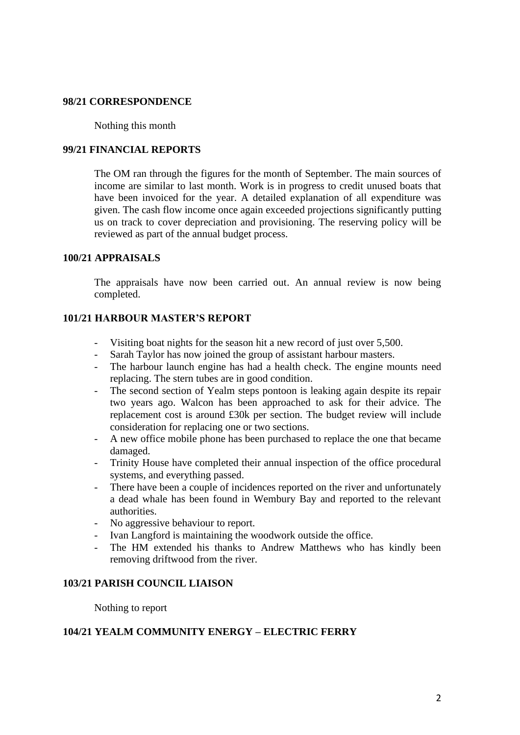#### **98/21 CORRESPONDENCE**

#### Nothing this month

#### **99/21 FINANCIAL REPORTS**

The OM ran through the figures for the month of September. The main sources of income are similar to last month. Work is in progress to credit unused boats that have been invoiced for the year. A detailed explanation of all expenditure was given. The cash flow income once again exceeded projections significantly putting us on track to cover depreciation and provisioning. The reserving policy will be reviewed as part of the annual budget process.

#### **100/21 APPRAISALS**

The appraisals have now been carried out. An annual review is now being completed.

#### **101/21 HARBOUR MASTER'S REPORT**

- Visiting boat nights for the season hit a new record of just over 5,500.
- Sarah Taylor has now joined the group of assistant harbour masters.
- The harbour launch engine has had a health check. The engine mounts need replacing. The stern tubes are in good condition.
- The second section of Yealm steps pontoon is leaking again despite its repair two years ago. Walcon has been approached to ask for their advice. The replacement cost is around £30k per section. The budget review will include consideration for replacing one or two sections.
- A new office mobile phone has been purchased to replace the one that became damaged.
- Trinity House have completed their annual inspection of the office procedural systems, and everything passed.
- There have been a couple of incidences reported on the river and unfortunately a dead whale has been found in Wembury Bay and reported to the relevant authorities.
- No aggressive behaviour to report.
- Ivan Langford is maintaining the woodwork outside the office.
- The HM extended his thanks to Andrew Matthews who has kindly been removing driftwood from the river.

#### **103/21 PARISH COUNCIL LIAISON**

Nothing to report

#### **104/21 YEALM COMMUNITY ENERGY – ELECTRIC FERRY**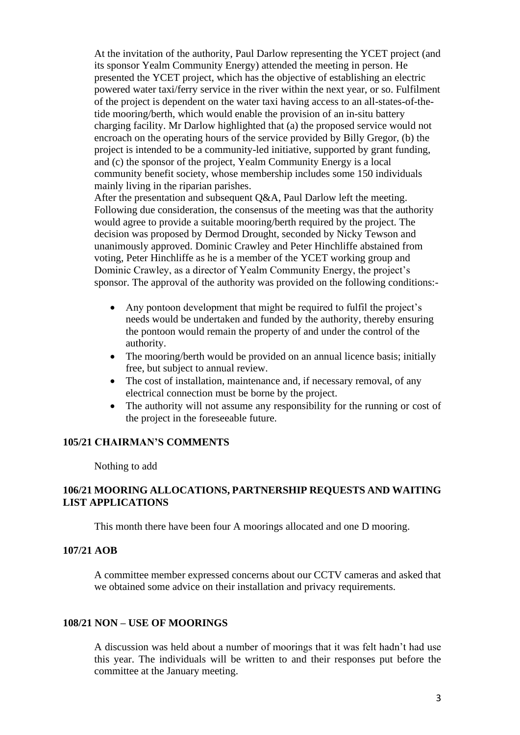At the invitation of the authority, Paul Darlow representing the YCET project (and its sponsor Yealm Community Energy) attended the meeting in person. He presented the YCET project, which has the objective of establishing an electric powered water taxi/ferry service in the river within the next year, or so. Fulfilment of the project is dependent on the water taxi having access to an all-states-of-thetide mooring/berth, which would enable the provision of an in-situ battery charging facility. Mr Darlow highlighted that (a) the proposed service would not encroach on the operating hours of the service provided by Billy Gregor, (b) the project is intended to be a community-led initiative, supported by grant funding, and (c) the sponsor of the project, Yealm Community Energy is a local community benefit society, whose membership includes some 150 individuals mainly living in the riparian parishes.

After the presentation and subsequent O&A, Paul Darlow left the meeting. Following due consideration, the consensus of the meeting was that the authority would agree to provide a suitable mooring/berth required by the project. The decision was proposed by Dermod Drought, seconded by Nicky Tewson and unanimously approved. Dominic Crawley and Peter Hinchliffe abstained from voting, Peter Hinchliffe as he is a member of the YCET working group and Dominic Crawley, as a director of Yealm Community Energy, the project's sponsor. The approval of the authority was provided on the following conditions:-

- Any pontoon development that might be required to fulfil the project's needs would be undertaken and funded by the authority, thereby ensuring the pontoon would remain the property of and under the control of the authority.
- The mooring/berth would be provided on an annual licence basis; initially free, but subject to annual review.
- The cost of installation, maintenance and, if necessary removal, of any electrical connection must be borne by the project.
- The authority will not assume any responsibility for the running or cost of the project in the foreseeable future.

#### **105/21 CHAIRMAN'S COMMENTS**

Nothing to add

### **106/21 MOORING ALLOCATIONS, PARTNERSHIP REQUESTS AND WAITING LIST APPLICATIONS**

This month there have been four A moorings allocated and one D mooring.

## **107/21 AOB**

A committee member expressed concerns about our CCTV cameras and asked that we obtained some advice on their installation and privacy requirements.

#### **108/21 NON – USE OF MOORINGS**

A discussion was held about a number of moorings that it was felt hadn't had use this year. The individuals will be written to and their responses put before the committee at the January meeting.